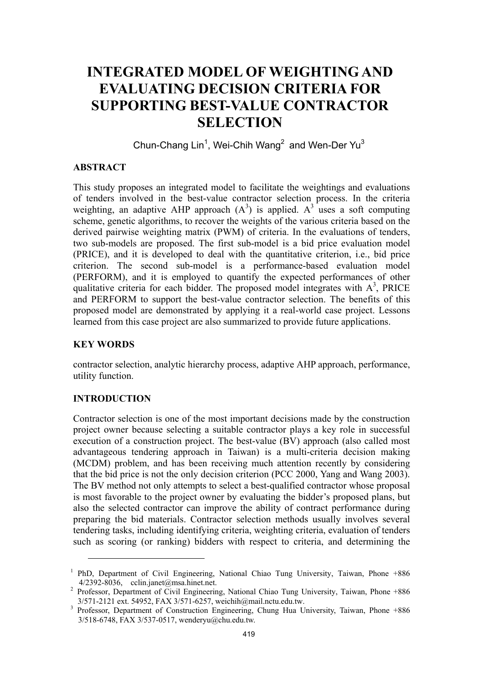# **INTEGRATED MODEL OF WEIGHTING AND EVALUATING DECISION CRITERIA FOR SUPPORTING BEST-VALUE CONTRACTOR SELECTION**

Chun-Chang Lin<sup>1</sup>, Wei-Chih Wang<sup>2</sup> and Wen-Der Yu<sup>3</sup>

# **ABSTRACT**

This study proposes an integrated model to facilitate the weightings and evaluations of tenders involved in the best-value contractor selection process. In the criteria weighting, an adaptive AHP approach  $(A^3)$  is applied.  $A^3$  uses a soft computing scheme, genetic algorithms, to recover the weights of the various criteria based on the derived pairwise weighting matrix (PWM) of criteria. In the evaluations of tenders, two sub-models are proposed. The first sub-model is a bid price evaluation model (PRICE), and it is developed to deal with the quantitative criterion, i.e., bid price criterion. The second sub-model is a performance-based evaluation model (PERFORM), and it is employed to quantify the expected performances of other qualitative criteria for each bidder. The proposed model integrates with  $A<sup>3</sup>$ , PRICE and PERFORM to support the best-value contractor selection. The benefits of this proposed model are demonstrated by applying it a real-world case project. Lessons learned from this case project are also summarized to provide future applications.

# **KEY WORDS**

contractor selection, analytic hierarchy process, adaptive AHP approach, performance, utility function.

# **INTRODUCTION**

 $\overline{a}$ 

Contractor selection is one of the most important decisions made by the construction project owner because selecting a suitable contractor plays a key role in successful execution of a construction project. The best-value (BV) approach (also called most advantageous tendering approach in Taiwan) is a multi-criteria decision making (MCDM) problem, and has been receiving much attention recently by considering that the bid price is not the only decision criterion (PCC 2000, Yang and Wang 2003). The BV method not only attempts to select a best-qualified contractor whose proposal is most favorable to the project owner by evaluating the bidder's proposed plans, but also the selected contractor can improve the ability of contract performance during preparing the bid materials. Contractor selection methods usually involves several tendering tasks, including identifying criteria, weighting criteria, evaluation of tenders such as scoring (or ranking) bidders with respect to criteria, and determining the

<sup>&</sup>lt;sup>1</sup> PhD, Department of Civil Engineering, National Chiao Tung University, Taiwan, Phone +886  $4/2392-8036$ , cclin.janet@msa.hinet.net.

<sup>&</sup>lt;sup>2</sup> Professor, Department of Civil Engineering, National Chiao Tung University, Taiwan, Phone +886 3/571-2121 ext. 54952, FAX 3/571-6257, weichih@mail.nctu.edu.tw. 3

<sup>&</sup>lt;sup>3</sup> Professor, Department of Construction Engineering, Chung Hua University, Taiwan, Phone +886 3/518-6748, FAX 3/537-0517, wenderyu@chu.edu.tw.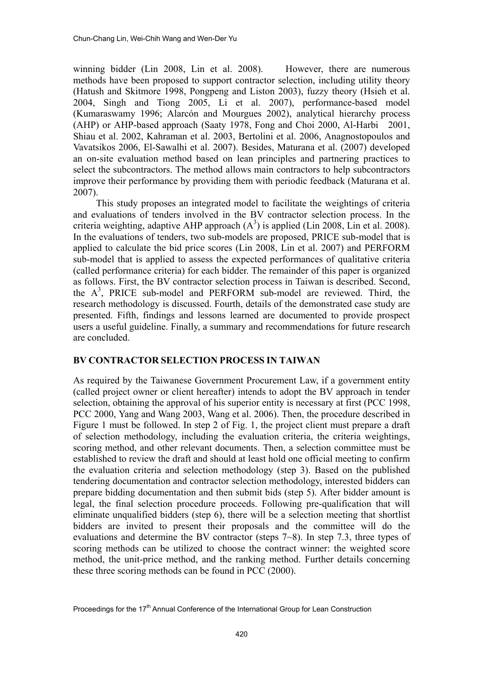winning bidder (Lin 2008, Lin et al. 2008). However, there are numerous methods have been proposed to support contractor selection, including utility theory (Hatush and Skitmore 1998, Pongpeng and Liston 2003), fuzzy theory (Hsieh et al. 2004, Singh and Tiong 2005, Li et al. 2007), performance-based model (Kumaraswamy 1996; Alarcón and Mourgues 2002), analytical hierarchy process (AHP) or AHP-based approach (Saaty 1978, Fong and Choi 2000, Al-Harbi 2001, Shiau et al. 2002, Kahraman et al. 2003, Bertolini et al. 2006, Anagnostopoulos and Vavatsikos 2006, El-Sawalhi et al. 2007). Besides, Maturana et al. (2007) developed an on-site evaluation method based on lean principles and partnering practices to select the subcontractors. The method allows main contractors to help subcontractors improve their performance by providing them with periodic feedback (Maturana et al. 2007).

This study proposes an integrated model to facilitate the weightings of criteria and evaluations of tenders involved in the BV contractor selection process. In the criteria weighting, adaptive AHP approach  $(A^3)$  is applied (Lin 2008, Lin et al. 2008). In the evaluations of tenders, two sub-models are proposed, PRICE sub-model that is applied to calculate the bid price scores (Lin 2008, Lin et al. 2007) and PERFORM sub-model that is applied to assess the expected performances of qualitative criteria (called performance criteria) for each bidder. The remainder of this paper is organized as follows. First, the BV contractor selection process in Taiwan is described. Second, the  $A^3$ , PRICE sub-model and PERFORM sub-model are reviewed. Third, the research methodology is discussed. Fourth, details of the demonstrated case study are presented. Fifth, findings and lessons learned are documented to provide prospect users a useful guideline. Finally, a summary and recommendations for future research are concluded.

# **BV CONTRACTOR SELECTION PROCESS IN TAIWAN**

As required by the Taiwanese Government Procurement Law, if a government entity (called project owner or client hereafter) intends to adopt the BV approach in tender selection, obtaining the approval of his superior entity is necessary at first (PCC 1998, PCC 2000, Yang and Wang 2003, Wang et al. 2006). Then, the procedure described in Figure 1 must be followed. In step 2 of Fig. 1, the project client must prepare a draft of selection methodology, including the evaluation criteria, the criteria weightings, scoring method, and other relevant documents. Then, a selection committee must be established to review the draft and should at least hold one official meeting to confirm the evaluation criteria and selection methodology (step 3). Based on the published tendering documentation and contractor selection methodology, interested bidders can prepare bidding documentation and then submit bids (step 5). After bidder amount is legal, the final selection procedure proceeds. Following pre-qualification that will eliminate unqualified bidders (step 6), there will be a selection meeting that shortlist bidders are invited to present their proposals and the committee will do the evaluations and determine the BV contractor (steps 7~8). In step 7.3, three types of scoring methods can be utilized to choose the contract winner: the weighted score method, the unit-price method, and the ranking method. Further details concerning these three scoring methods can be found in PCC (2000).

Proceedings for the 17<sup>th</sup> Annual Conference of the International Group for Lean Construction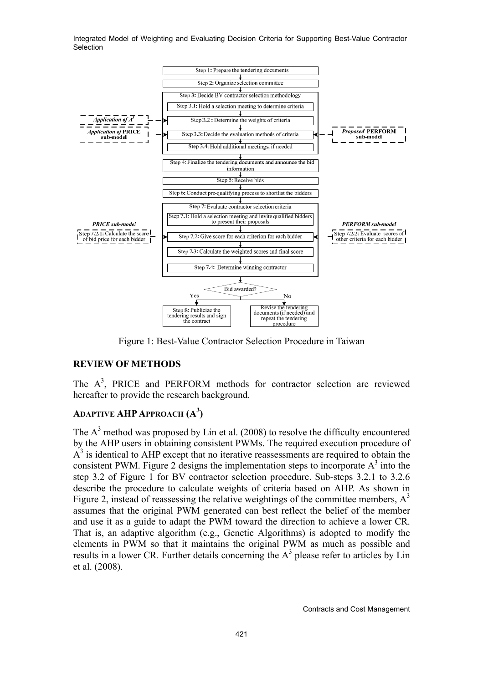

Figure 1: Best-Value Contractor Selection Procedure in Taiwan

# **REVIEW OF METHODS**

The  $A<sup>3</sup>$ , PRICE and PERFORM methods for contractor selection are reviewed hereafter to provide the research background.

# **ADAPTIVE AHP APPROACH (A3 )**

The  $A<sup>3</sup>$  method was proposed by Lin et al. (2008) to resolve the difficulty encountered by the AHP users in obtaining consistent PWMs. The required execution procedure of  $A<sup>3</sup>$  is identical to AHP except that no iterative reassessments are required to obtain the consistent PWM. Figure 2 designs the implementation steps to incorporate  $A<sup>3</sup>$  into the step 3.2 of Figure 1 for BV contractor selection procedure. Sub-steps 3.2.1 to 3.2.6 describe the procedure to calculate weights of criteria based on AHP. As shown in Figure 2, instead of reassessing the relative weightings of the committee members,  $A<sup>3</sup>$ assumes that the original PWM generated can best reflect the belief of the member and use it as a guide to adapt the PWM toward the direction to achieve a lower CR. That is, an adaptive algorithm (e.g., Genetic Algorithms) is adopted to modify the elements in PWM so that it maintains the original PWM as much as possible and results in a lower CR. Further details concerning the  $A<sup>3</sup>$  please refer to articles by Lin et al. (2008).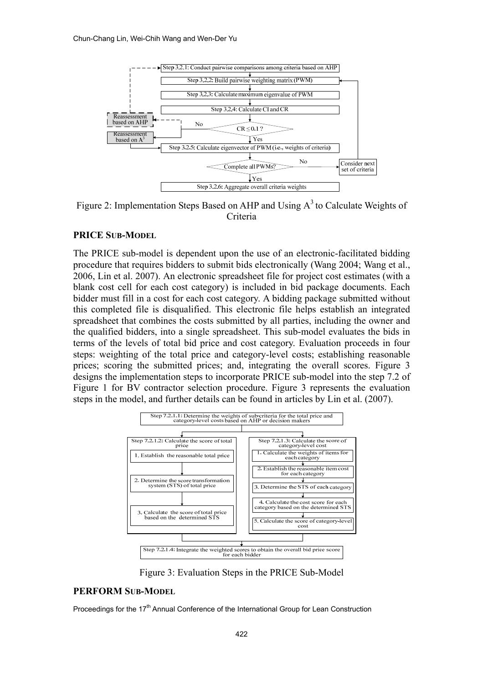

Figure 2: Implementation Steps Based on AHP and Using  $A<sup>3</sup>$  to Calculate Weights of Criteria

## **PRICE SUB-MODEL**

The PRICE sub-model is dependent upon the use of an electronic-facilitated bidding procedure that requires bidders to submit bids electronically (Wang 2004; Wang et al., 2006, Lin et al. 2007). An electronic spreadsheet file for project cost estimates (with a blank cost cell for each cost category) is included in bid package documents. Each bidder must fill in a cost for each cost category. A bidding package submitted without this completed file is disqualified. This electronic file helps establish an integrated spreadsheet that combines the costs submitted by all parties, including the owner and the qualified bidders, into a single spreadsheet. This sub-model evaluates the bids in terms of the levels of total bid price and cost category. Evaluation proceeds in four steps: weighting of the total price and category-level costs; establishing reasonable prices; scoring the submitted prices; and, integrating the overall scores. Figure 3 designs the implementation steps to incorporate PRICE sub-model into the step 7.2 of Figure 1 for BV contractor selection procedure. Figure 3 represents the evaluation steps in the model, and further details can be found in articles by Lin et al. (2007).



Figure 3: Evaluation Steps in the PRICE Sub-Model

# **PERFORM SUB-MODEL**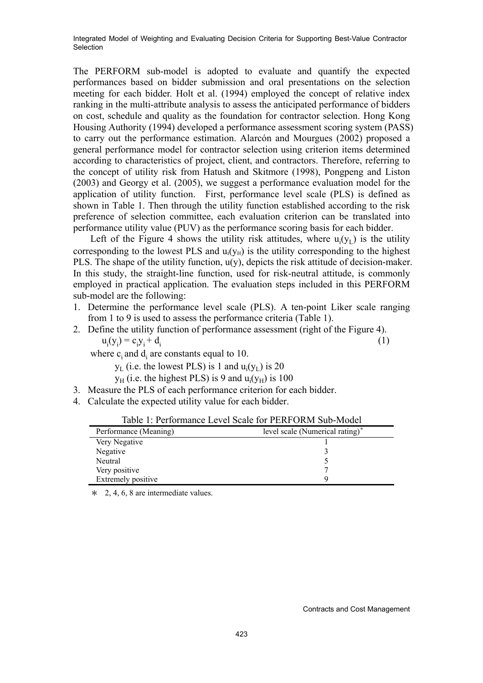The PERFORM sub-model is adopted to evaluate and quantify the expected performances based on bidder submission and oral presentations on the selection meeting for each bidder. Holt et al. (1994) employed the concept of relative index ranking in the multi-attribute analysis to assess the anticipated performance of bidders on cost, schedule and quality as the foundation for contractor selection. Hong Kong Housing Authority (1994) developed a performance assessment scoring system (PASS) to carry out the performance estimation. Alarcón and Mourgues (2002) proposed a general performance model for contractor selection using criterion items determined according to characteristics of project, client, and contractors. Therefore, referring to the concept of utility risk from Hatush and Skitmore (1998), Pongpeng and Liston (2003) and Georgy et al. (2005), we suggest a performance evaluation model for the application of utility function. First, performance level scale (PLS) is defined as shown in Table 1. Then through the utility function established according to the risk preference of selection committee, each evaluation criterion can be translated into performance utility value (PUV) as the performance scoring basis for each bidder.

Left of the Figure 4 shows the utility risk attitudes, where  $u_i(y_L)$  is the utility corresponding to the lowest PLS and  $u_i(v_H)$  is the utility corresponding to the highest PLS. The shape of the utility function, u(y), depicts the risk attitude of decision-maker. In this study, the straight-line function, used for risk-neutral attitude, is commonly employed in practical application. The evaluation steps included in this PERFORM sub-model are the following:

- 1. Determine the performance level scale (PLS). A ten-point Liker scale ranging from 1 to 9 is used to assess the performance criteria (Table 1).
- 2. Define the utility function of performance assessment (right of the Figure 4).  $u_i(y_i) = c_i y_i + d_i$ (1)

where  $c_i$  and  $d_i$  are constants equal to 10.

 $y_L$  (i.e. the lowest PLS) is 1 and  $u_i(y_L)$  is 20

 $y_H$  (i.e. the highest PLS) is 9 and  $u_i(y_H)$  is 100

- 3. Measure the PLS of each performance criterion for each bidder.
- 4. Calculate the expected utility value for each bidder.

| Table 1: Performance Level Scale for PERFORM Sub-Model |                                 |  |  |  |  |  |
|--------------------------------------------------------|---------------------------------|--|--|--|--|--|
| Performance (Meaning)                                  | level scale (Numerical rating)* |  |  |  |  |  |
| Very Negative                                          |                                 |  |  |  |  |  |
| Negative                                               |                                 |  |  |  |  |  |
| Neutral                                                |                                 |  |  |  |  |  |
| Very positive                                          |                                 |  |  |  |  |  |
| Extremely positive                                     |                                 |  |  |  |  |  |

 $\ast$  2, 4, 6, 8 are intermediate values.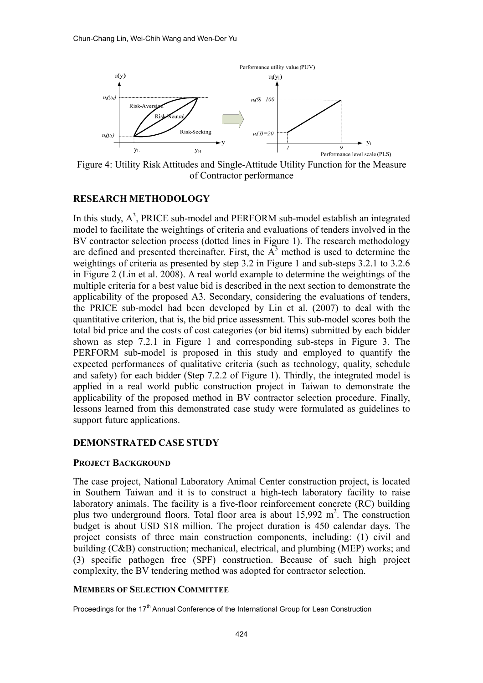

Figure 4: Utility Risk Attitudes and Single-Attitude Utility Function for the Measure of Contractor performance

# **RESEARCH METHODOLOGY**

In this study,  $A^3$ , PRICE sub-model and PERFORM sub-model establish an integrated model to facilitate the weightings of criteria and evaluations of tenders involved in the BV contractor selection process (dotted lines in Figure 1). The research methodology are defined and presented thereinafter. First, the  $A<sup>3</sup>$  method is used to determine the weightings of criteria as presented by step 3.2 in Figure 1 and sub-steps 3.2.1 to 3.2.6 in Figure 2 (Lin et al. 2008). A real world example to determine the weightings of the multiple criteria for a best value bid is described in the next section to demonstrate the applicability of the proposed A3. Secondary, considering the evaluations of tenders, the PRICE sub-model had been developed by Lin et al. (2007) to deal with the quantitative criterion, that is, the bid price assessment. This sub-model scores both the total bid price and the costs of cost categories (or bid items) submitted by each bidder shown as step 7.2.1 in Figure 1 and corresponding sub-steps in Figure 3. The PERFORM sub-model is proposed in this study and employed to quantify the expected performances of qualitative criteria (such as technology, quality, schedule and safety) for each bidder (Step 7.2.2 of Figure 1). Thirdly, the integrated model is applied in a real world public construction project in Taiwan to demonstrate the applicability of the proposed method in BV contractor selection procedure. Finally, lessons learned from this demonstrated case study were formulated as guidelines to support future applications.

#### **DEMONSTRATED CASE STUDY**

#### **PROJECT BACKGROUND**

The case project, National Laboratory Animal Center construction project, is located in Southern Taiwan and it is to construct a high-tech laboratory facility to raise laboratory animals. The facility is a five-floor reinforcement concrete (RC) building plus two underground floors. Total floor area is about  $15,992 \text{ m}^2$ . The construction budget is about USD \$18 million. The project duration is 450 calendar days. The project consists of three main construction components, including: (1) civil and building (C&B) construction; mechanical, electrical, and plumbing (MEP) works; and (3) specific pathogen free (SPF) construction. Because of such high project complexity, the BV tendering method was adopted for contractor selection.

#### **MEMBERS OF SELECTION COMMITTEE**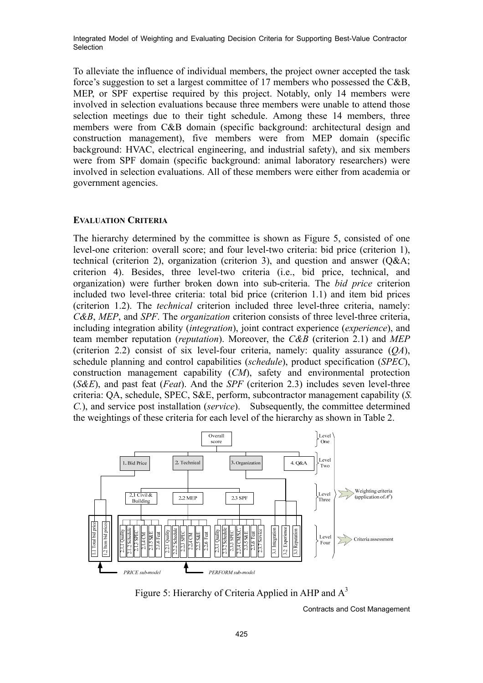To alleviate the influence of individual members, the project owner accepted the task force's suggestion to set a largest committee of 17 members who possessed the C&B, MEP, or SPF expertise required by this project. Notably, only 14 members were involved in selection evaluations because three members were unable to attend those selection meetings due to their tight schedule. Among these 14 members, three members were from C&B domain (specific background: architectural design and construction management), five members were from MEP domain (specific background: HVAC, electrical engineering, and industrial safety), and six members were from SPF domain (specific background: animal laboratory researchers) were involved in selection evaluations. All of these members were either from academia or government agencies.

#### **EVALUATION CRITERIA**

The hierarchy determined by the committee is shown as Figure 5, consisted of one level-one criterion: overall score; and four level-two criteria: bid price (criterion 1), technical (criterion 2), organization (criterion 3), and question and answer (Q&A; criterion 4). Besides, three level-two criteria (i.e., bid price, technical, and organization) were further broken down into sub-criteria. The *bid price* criterion included two level-three criteria: total bid price (criterion 1.1) and item bid prices (criterion 1.2). The *technical* criterion included three level-three criteria, namely: *C&B*, *MEP*, and *SPF*. The *organization* criterion consists of three level-three criteria, including integration ability (*integration*), joint contract experience (*experience*), and team member reputation (*reputation*). Moreover, the *C&B* (criterion 2.1) and *MEP* (criterion 2.2) consist of six level-four criteria, namely: quality assurance (*QA*), schedule planning and control capabilities (*schedule*), product specification (*SPEC*), construction management capability (*CM*), safety and environmental protection (*S&E*), and past feat (*Feat*). And the *SPF* (criterion 2.3) includes seven level-three criteria: QA, schedule, SPEC, S&E, perform, subcontractor management capability (*S. C.*), and service post installation (*service*). Subsequently, the committee determined the weightings of these criteria for each level of the hierarchy as shown in Table 2.



Figure 5: Hierarchy of Criteria Applied in AHP and  $A<sup>3</sup>$ 

Contracts and Cost Management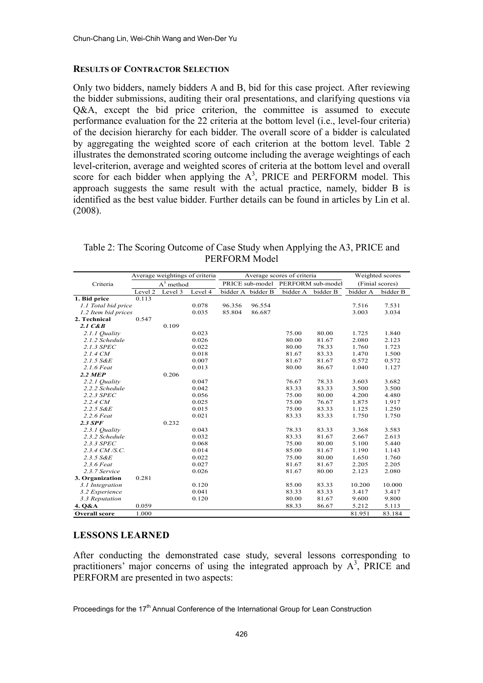#### **RESULTS OF CONTRACTOR SELECTION**

Only two bidders, namely bidders A and B, bid for this case project. After reviewing the bidder submissions, auditing their oral presentations, and clarifying questions via Q&A, except the bid price criterion, the committee is assumed to execute performance evaluation for the 22 criteria at the bottom level (i.e., level-four criteria) of the decision hierarchy for each bidder. The overall score of a bidder is calculated by aggregating the weighted score of each criterion at the bottom level. Table 2 illustrates the demonstrated scoring outcome including the average weightings of each level-criterion, average and weighted scores of criteria at the bottom level and overall score for each bidder when applying the  $A<sup>3</sup>$ , PRICE and PERFORM model. This approach suggests the same result with the actual practice, namely, bidder B is identified as the best value bidder. Further details can be found in articles by Lin et al. (2008).

|                      | Average weightings of criteria |         |         | Average scores of criteria |                   |                                   |          | Weighted scores |          |
|----------------------|--------------------------------|---------|---------|----------------------------|-------------------|-----------------------------------|----------|-----------------|----------|
| Criteria             | $A^3$ method                   |         |         |                            |                   | PRICE sub-model PERFORM sub-model |          | (Finial scores) |          |
|                      | Level 2                        | Level 3 | Level 4 |                            | bidder A bidder B | bidder A                          | bidder B | bidder A        | bidder B |
| 1. Bid price         | 0.113                          |         |         |                            |                   |                                   |          |                 |          |
| 1.1 Total bid price  |                                |         | 0.078   | 96.356                     | 96.554            |                                   |          | 7.516           | 7.531    |
| 1.2 Item bid prices  |                                |         | 0.035   | 85.804                     | 86.687            |                                   |          | 3.003           | 3.034    |
| 2. Technical         | 0.547                          |         |         |                            |                   |                                   |          |                 |          |
| $2.1 \text{ } C\&B$  |                                | 0.109   |         |                            |                   |                                   |          |                 |          |
| 2.1.1 Quality        |                                |         | 0.023   |                            |                   | 75.00                             | 80.00    | 1.725           | 1.840    |
| 2.1.2 Schedule       |                                |         | 0.026   |                            |                   | 80.00                             | 81.67    | 2.080           | 2.123    |
| 2.1.3 SPEC           |                                |         | 0.022   |                            |                   | 80.00                             | 78.33    | 1.760           | 1.723    |
| $2.1.4 \text{ CM}$   |                                |         | 0.018   |                            |                   | 81.67                             | 83.33    | 1.470           | 1.500    |
| 2.1.5 SAE            |                                |         | 0.007   |                            |                   | 81.67                             | 81.67    | 0.572           | 0.572    |
| $2.1.6$ Feat         |                                |         | 0.013   |                            |                   | 80.00                             | 86.67    | 1.040           | 1.127    |
| $2.2$ MEP            |                                | 0.206   |         |                            |                   |                                   |          |                 |          |
| 2.2.1 Quality        |                                |         | 0.047   |                            |                   | 76.67                             | 78.33    | 3.603           | 3.682    |
| 2.2.2 Schedule       |                                |         | 0.042   |                            |                   | 83.33                             | 83.33    | 3.500           | 3.500    |
| 2.2.3 SPEC           |                                |         | 0.056   |                            |                   | 75.00                             | 80.00    | 4.200           | 4.480    |
| 2.2.4 CM             |                                |         | 0.025   |                            |                   | 75.00                             | 76.67    | 1.875           | 1.917    |
| 2.2.5 S&E            |                                |         | 0.015   |                            |                   | 75.00                             | 83.33    | 1.125           | 1.250    |
| 2.2.6 Feat           |                                |         | 0.021   |                            |                   | 83.33                             | 83.33    | 1.750           | 1.750    |
| $2.3$ SPF            |                                | 0.232   |         |                            |                   |                                   |          |                 |          |
| 2.3.1 Quality        |                                |         | 0.043   |                            |                   | 78.33                             | 83.33    | 3.368           | 3.583    |
| 2.3.2 Schedule       |                                |         | 0.032   |                            |                   | 83.33                             | 81.67    | 2.667           | 2.613    |
| 2.3.3 SPEC           |                                |         | 0.068   |                            |                   | 75.00                             | 80.00    | 5.100           | 5.440    |
| 2.3.4 CM/S.C.        |                                |         | 0.014   |                            |                   | 85.00                             | 81.67    | 1.190           | 1.143    |
| 2.3.5 SAE            |                                |         | 0.022   |                            |                   | 75.00                             | 80.00    | 1.650           | 1.760    |
| 2.3.6 Feat           |                                |         | 0.027   |                            |                   | 81.67                             | 81.67    | 2.205           | 2.205    |
| 2.3.7 Service        |                                |         | 0.026   |                            |                   | 81.67                             | 80.00    | 2.123           | 2.080    |
| 3. Organization      | 0.281                          |         |         |                            |                   |                                   |          |                 |          |
| 3.1 Integration      |                                |         | 0.120   |                            |                   | 85.00                             | 83.33    | 10.200          | 10.000   |
| 3.2 Experience       |                                |         | 0.041   |                            |                   | 83.33                             | 83.33    | 3.417           | 3.417    |
| 3.3 Reputation       |                                |         | 0.120   |                            |                   | 80.00                             | 81.67    | 9.600           | 9.800    |
| 4. Q&A               | 0.059                          |         |         |                            |                   | 88.33                             | 86.67    | 5.212           | 5.113    |
| <b>Overall score</b> | 1.000                          |         |         |                            |                   |                                   |          | 81.951          | 83.184   |

Table 2: The Scoring Outcome of Case Study when Applying the A3, PRICE and PERFORM Model

# **LESSONS LEARNED**

After conducting the demonstrated case study, several lessons corresponding to practitioners' major concerns of using the integrated approach by  $A<sup>3</sup>$ , PRICE and PERFORM are presented in two aspects: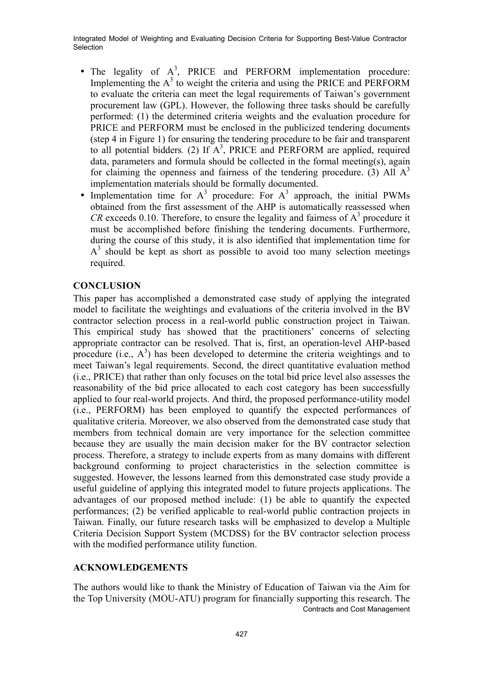- The legality of  $A^3$ , PRICE and PERFORM implementation procedure: Implementing the  $A<sup>3</sup>$  to weight the criteria and using the PRICE and PERFORM to evaluate the criteria can meet the legal requirements of Taiwan's government procurement law (GPL). However, the following three tasks should be carefully performed: (1) the determined criteria weights and the evaluation procedure for PRICE and PERFORM must be enclosed in the publicized tendering documents (step 4 in Figure 1) for ensuring the tendering procedure to be fair and transparent to all potential bidders*.* (2) If A3 , PRICE and PERFORM are applied, required data, parameters and formula should be collected in the formal meeting(s), again for claiming the openness and fairness of the tendering procedure. (3) All  $A<sup>3</sup>$ implementation materials should be formally documented.
- Implementation time for  $A^3$  procedure: For  $A^3$  approach, the initial PWMs obtained from the first assessment of the AHP is automatically reassessed when  $CR$  exceeds 0.10. Therefore, to ensure the legality and fairness of  $A<sup>3</sup>$  procedure it must be accomplished before finishing the tendering documents. Furthermore, during the course of this study, it is also identified that implementation time for  $A<sup>3</sup>$  should be kept as short as possible to avoid too many selection meetings required.

# **CONCLUSION**

This paper has accomplished a demonstrated case study of applying the integrated model to facilitate the weightings and evaluations of the criteria involved in the BV contractor selection process in a real-world public construction project in Taiwan. This empirical study has showed that the practitioners' concerns of selecting appropriate contractor can be resolved. That is, first, an operation-level AHP-based procedure (i.e.,  $A<sup>3</sup>$ ) has been developed to determine the criteria weightings and to meet Taiwan's legal requirements. Second, the direct quantitative evaluation method (i.e., PRICE) that rather than only focuses on the total bid price level also assesses the reasonability of the bid price allocated to each cost category has been successfully applied to four real-world projects. And third, the proposed performance-utility model (i.e., PERFORM) has been employed to quantify the expected performances of qualitative criteria. Moreover, we also observed from the demonstrated case study that members from technical domain are very importance for the selection committee because they are usually the main decision maker for the BV contractor selection process. Therefore, a strategy to include experts from as many domains with different background conforming to project characteristics in the selection committee is suggested. However, the lessons learned from this demonstrated case study provide a useful guideline of applying this integrated model to future projects applications. The advantages of our proposed method include: (1) be able to quantify the expected performances; (2) be verified applicable to real-world public contraction projects in Taiwan. Finally, our future research tasks will be emphasized to develop a Multiple Criteria Decision Support System (MCDSS) for the BV contractor selection process with the modified performance utility function.

# **ACKNOWLEDGEMENTS**

Contracts and Cost Management The authors would like to thank the Ministry of Education of Taiwan via the Aim for the Top University (MOU-ATU) program for financially supporting this research. The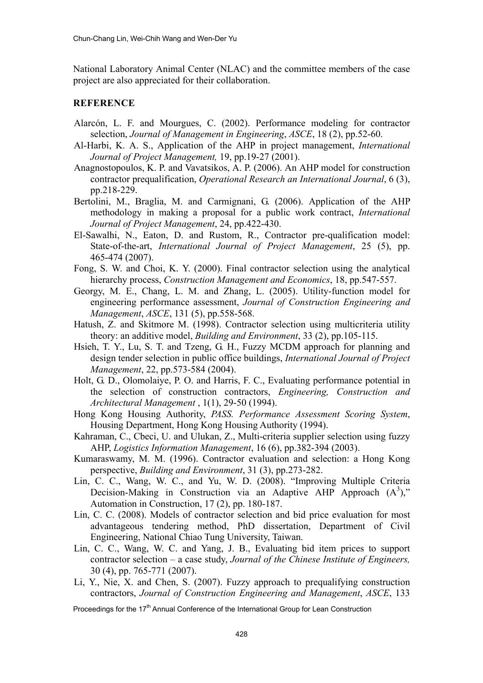National Laboratory Animal Center (NLAC) and the committee members of the case project are also appreciated for their collaboration.

## **REFERENCE**

- Alarcón, L. F. and Mourgues, C. (2002). Performance modeling for contractor selection, *Journal of Management in Engineering*, *ASCE*, 18 (2), pp.52-60.
- Al-Harbi, K. A. S., Application of the AHP in project management, *International Journal of Project Management,* 19, pp.19-27 (2001).
- Anagnostopoulos, K. P. and Vavatsikos, A. P. (2006). An AHP model for construction contractor prequalification, *Operational Research an International Journal*, 6 (3), pp.218-229.
- Bertolini, M., Braglia, M. and Carmignani, G. (2006). Application of the AHP methodology in making a proposal for a public work contract, *International Journal of Project Management*, 24, pp.422-430.
- El-Sawalhi, N., Eaton, D. and Rustom, R., Contractor pre-qualification model: State-of-the-art, *International Journal of Project Management*, 25 (5), pp. 465-474 (2007).
- Fong, S. W. and Choi, K. Y. (2000). Final contractor selection using the analytical hierarchy process, *Construction Management and Economics*, 18, pp.547-557.
- Georgy, M. E., Chang, L. M. and Zhang, L. (2005). Utility-function model for engineering performance assessment, *Journal of Construction Engineering and Management*, *ASCE*, 131 (5), pp.558-568.
- Hatush, Z. and Skitmore M. (1998). Contractor selection using multicriteria utility theory: an additive model, *Building and Environment*, 33 (2), pp.105-115.
- Hsieh, T. Y., Lu, S. T. and Tzeng, G. H., Fuzzy MCDM approach for planning and design tender selection in public office buildings, *International Journal of Project Management*, 22, pp.573-584 (2004).
- Holt, G. D., Olomolaiye, P. O. and Harris, F. C., Evaluating performance potential in the selection of construction contractors, *Engineering, Construction and Architectural Management* , 1(1), 29-50 (1994).
- Hong Kong Housing Authority, *PASS. Performance Assessment Scoring System*, Housing Department, Hong Kong Housing Authority (1994).
- Kahraman, C., Cbeci, U. and Ulukan, Z., Multi-criteria supplier selection using fuzzy AHP, *Logistics Information Management*, 16 (6), pp.382-394 (2003).
- Kumaraswamy, M. M. (1996). Contractor evaluation and selection: a Hong Kong perspective, *Building and Environment*, 31 (3), pp.273-282.
- Lin, C. C., Wang, W. C., and Yu, W. D. (2008). "Improving Multiple Criteria Decision-Making in Construction via an Adaptive AHP Approach  $(A^3)$ ," Automation in Construction, 17 (2), pp. 180-187.
- Lin, C. C. (2008). Models of contractor selection and bid price evaluation for most advantageous tendering method, PhD dissertation, Department of Civil Engineering, National Chiao Tung University, Taiwan.
- Lin, C. C., Wang, W. C. and Yang, J. B., Evaluating bid item prices to support contractor selection – a case study, *Journal of the Chinese Institute of Engineers,*  30 (4), pp. 765-771 (2007).
- Li, Y., Nie, X. and Chen, S. (2007). Fuzzy approach to prequalifying construction contractors, *Journal of Construction Engineering and Management*, *ASCE*, 133

Proceedings for the 17<sup>th</sup> Annual Conference of the International Group for Lean Construction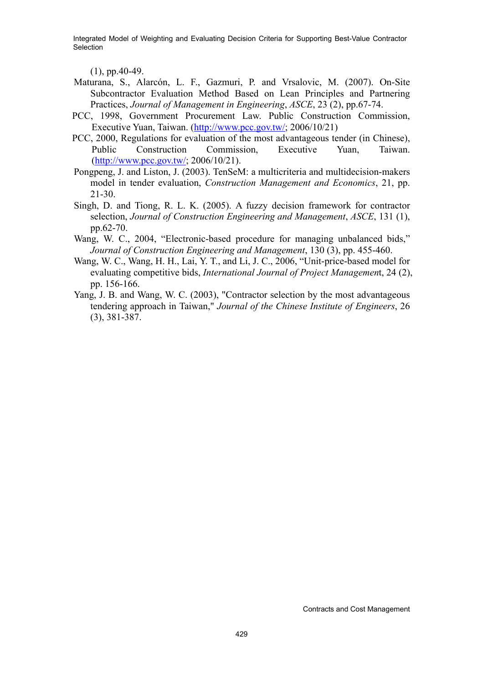(1), pp.40-49.

- Maturana, S., Alarcón, L. F., Gazmuri, P. and Vrsalovic, M. (2007). On-Site Subcontractor Evaluation Method Based on Lean Principles and Partnering Practices, *Journal of Management in Engineering*, *ASCE*, 23 (2), pp.67-74.
- PCC, 1998, Government Procurement Law. Public Construction Commission, Executive Yuan, Taiwan. (http://www.pcc.gov.tw/; 2006/10/21)
- PCC, 2000, Regulations for evaluation of the most advantageous tender (in Chinese), Public Construction Commission, Executive Yuan, Taiwan. (http://www.pcc.gov.tw/; 2006/10/21).
- Pongpeng, J. and Liston, J. (2003). TenSeM: a multicriteria and multidecision-makers model in tender evaluation, *Construction Management and Economics*, 21, pp. 21-30.
- Singh, D. and Tiong, R. L. K. (2005). A fuzzy decision framework for contractor selection, *Journal of Construction Engineering and Management*, *ASCE*, 131 (1), pp.62-70.
- Wang, W. C., 2004, "Electronic-based procedure for managing unbalanced bids," *Journal of Construction Engineering and Management*, 130 (3), pp. 455-460.
- Wang, W. C., Wang, H. H., Lai, Y. T., and Li, J. C., 2006, "Unit-price-based model for evaluating competitive bids, *International Journal of Project Managemen*t, 24 (2), pp. 156-166.
- Yang, J. B. and Wang, W. C. (2003), "Contractor selection by the most advantageous tendering approach in Taiwan," *Journal of the Chinese Institute of Engineers*, 26 (3), 381-387.